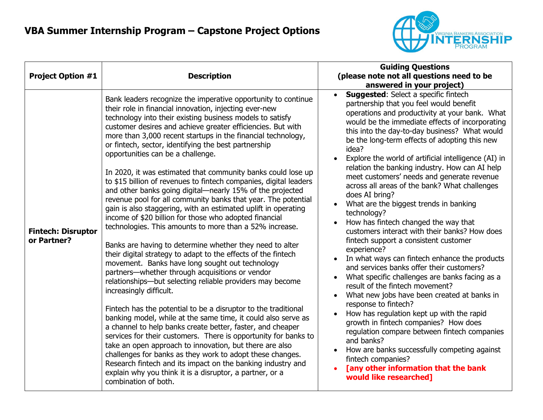

| <b>Project Option #1</b>                 | <b>Description</b>                                                                                                                                                                                                                                                                                                                                                                                                                                                                                                                                                                                                                                                                                                                                                                                                                                                                                                                                                                                                                                                                                                                                                                                                                                                                                                                                                                                                                                                                                                                                                                                                                                                                                                                                   | <b>Guiding Questions</b><br>(please note not all questions need to be<br>answered in your project)                                                                                                                                                                                                                                                                                                                                                                                                                                                                                                                                                                                                                                                                                                                                                                                                                                                                                                                                                                                                                                                                                                                                                                                                             |
|------------------------------------------|------------------------------------------------------------------------------------------------------------------------------------------------------------------------------------------------------------------------------------------------------------------------------------------------------------------------------------------------------------------------------------------------------------------------------------------------------------------------------------------------------------------------------------------------------------------------------------------------------------------------------------------------------------------------------------------------------------------------------------------------------------------------------------------------------------------------------------------------------------------------------------------------------------------------------------------------------------------------------------------------------------------------------------------------------------------------------------------------------------------------------------------------------------------------------------------------------------------------------------------------------------------------------------------------------------------------------------------------------------------------------------------------------------------------------------------------------------------------------------------------------------------------------------------------------------------------------------------------------------------------------------------------------------------------------------------------------------------------------------------------------|----------------------------------------------------------------------------------------------------------------------------------------------------------------------------------------------------------------------------------------------------------------------------------------------------------------------------------------------------------------------------------------------------------------------------------------------------------------------------------------------------------------------------------------------------------------------------------------------------------------------------------------------------------------------------------------------------------------------------------------------------------------------------------------------------------------------------------------------------------------------------------------------------------------------------------------------------------------------------------------------------------------------------------------------------------------------------------------------------------------------------------------------------------------------------------------------------------------------------------------------------------------------------------------------------------------|
| <b>Fintech: Disruptor</b><br>or Partner? | Bank leaders recognize the imperative opportunity to continue<br>their role in financial innovation, injecting ever-new<br>technology into their existing business models to satisfy<br>customer desires and achieve greater efficiencies. But with<br>more than 3,000 recent startups in the financial technology,<br>or fintech, sector, identifying the best partnership<br>opportunities can be a challenge.<br>In 2020, it was estimated that community banks could lose up<br>to \$15 billion of revenues to fintech companies, digital leaders<br>and other banks going digital—nearly 15% of the projected<br>revenue pool for all community banks that year. The potential<br>gain is also staggering, with an estimated uplift in operating<br>income of \$20 billion for those who adopted financial<br>technologies. This amounts to more than a 52% increase.<br>Banks are having to determine whether they need to alter<br>their digital strategy to adapt to the effects of the fintech<br>movement. Banks have long sought out technology<br>partners-whether through acquisitions or vendor<br>relationships-but selecting reliable providers may become<br>increasingly difficult.<br>Fintech has the potential to be a disruptor to the traditional<br>banking model, while at the same time, it could also serve as<br>a channel to help banks create better, faster, and cheaper<br>services for their customers. There is opportunity for banks to<br>take an open approach to innovation, but there are also<br>challenges for banks as they work to adopt these changes.<br>Research fintech and its impact on the banking industry and<br>explain why you think it is a disruptor, a partner, or a<br>combination of both. | <b>Suggested:</b> Select a specific fintech<br>partnership that you feel would benefit<br>operations and productivity at your bank. What<br>would be the immediate effects of incorporating<br>this into the day-to-day business? What would<br>be the long-term effects of adopting this new<br>idea?<br>Explore the world of artificial intelligence (AI) in<br>relation the banking industry. How can AI help<br>meet customers' needs and generate revenue<br>across all areas of the bank? What challenges<br>does AI bring?<br>What are the biggest trends in banking<br>technology?<br>How has fintech changed the way that<br>customers interact with their banks? How does<br>fintech support a consistent customer<br>experience?<br>In what ways can fintech enhance the products<br>and services banks offer their customers?<br>What specific challenges are banks facing as a<br>$\bullet$<br>result of the fintech movement?<br>What new jobs have been created at banks in<br>response to fintech?<br>How has regulation kept up with the rapid<br>growth in fintech companies? How does<br>regulation compare between fintech companies<br>and banks?<br>How are banks successfully competing against<br>fintech companies?<br>[any other information that the bank<br>would like researched] |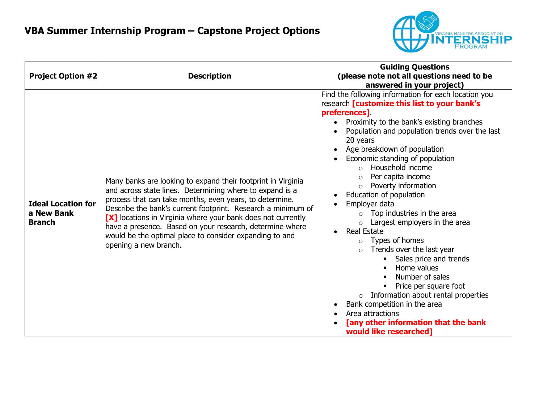

| <b>Project Option #2</b>                                 | <b>Description</b>                                                                                                                                                                                                                                                                                                                                                                                                                                                  | <b>Guiding Questions</b><br>(please note not all questions need to be<br>answered in your project)                                                                                                                                                                                                                                                                                                                                                                                                                                                                                                                                                                                                                                                                                                                                                                                           |
|----------------------------------------------------------|---------------------------------------------------------------------------------------------------------------------------------------------------------------------------------------------------------------------------------------------------------------------------------------------------------------------------------------------------------------------------------------------------------------------------------------------------------------------|----------------------------------------------------------------------------------------------------------------------------------------------------------------------------------------------------------------------------------------------------------------------------------------------------------------------------------------------------------------------------------------------------------------------------------------------------------------------------------------------------------------------------------------------------------------------------------------------------------------------------------------------------------------------------------------------------------------------------------------------------------------------------------------------------------------------------------------------------------------------------------------------|
| <b>Ideal Location for</b><br>a New Bank<br><b>Branch</b> | Many banks are looking to expand their footprint in Virginia<br>and across state lines. Determining where to expand is a<br>process that can take months, even years, to determine.<br>Describe the bank's current footprint. Research a minimum of<br>[X] locations in Virginia where your bank does not currently<br>have a presence. Based on your research, determine where<br>would be the optimal place to consider expanding to and<br>opening a new branch. | Find the following information for each location you<br>research [customize this list to your bank's<br>preferences].<br>Proximity to the bank's existing branches<br>Population and population trends over the last<br>20 years<br>Age breakdown of population<br>Economic standing of population<br>Household income<br>$\Omega$<br>Per capita income<br>$\circ$<br>Poverty information<br>$\circ$<br>Education of population<br>Employer data<br>Top industries in the area<br>$\circ$<br>Largest employers in the area<br><b>Real Estate</b><br>$\bullet$<br>$\circ$ Types of homes<br>Trends over the last year<br>$\circ$<br>Sales price and trends<br>Home values<br>Number of sales<br>Price per square foot<br>Information about rental properties<br>$\circ$<br>Bank competition in the area<br>Area attractions<br>[any other information that the bank<br>would like researched] |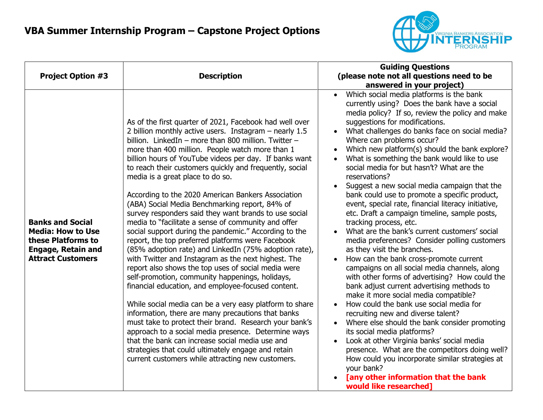

| <b>Project Option #3</b>                                                                                                           | <b>Description</b>                                                                                                                                                                                                                                                                                                                                                                                                                                                                                                                                                                                                                                                                                                                                                                                                                                                                                                                                                                                                                                                                                                                                                                                                                                                                                                                                                                                            | <b>Guiding Questions</b><br>(please note not all questions need to be<br>answered in your project)                                                                                                                                                                                                                                                                                                                                                                                                                                                                                                                                                                                                                                                                                                                                                                                                                                                                                                                                                                                                                                                                                                                                                                                                                                                                                                                                                                 |
|------------------------------------------------------------------------------------------------------------------------------------|---------------------------------------------------------------------------------------------------------------------------------------------------------------------------------------------------------------------------------------------------------------------------------------------------------------------------------------------------------------------------------------------------------------------------------------------------------------------------------------------------------------------------------------------------------------------------------------------------------------------------------------------------------------------------------------------------------------------------------------------------------------------------------------------------------------------------------------------------------------------------------------------------------------------------------------------------------------------------------------------------------------------------------------------------------------------------------------------------------------------------------------------------------------------------------------------------------------------------------------------------------------------------------------------------------------------------------------------------------------------------------------------------------------|--------------------------------------------------------------------------------------------------------------------------------------------------------------------------------------------------------------------------------------------------------------------------------------------------------------------------------------------------------------------------------------------------------------------------------------------------------------------------------------------------------------------------------------------------------------------------------------------------------------------------------------------------------------------------------------------------------------------------------------------------------------------------------------------------------------------------------------------------------------------------------------------------------------------------------------------------------------------------------------------------------------------------------------------------------------------------------------------------------------------------------------------------------------------------------------------------------------------------------------------------------------------------------------------------------------------------------------------------------------------------------------------------------------------------------------------------------------------|
| <b>Banks and Social</b><br><b>Media: How to Use</b><br>these Platforms to<br><b>Engage, Retain and</b><br><b>Attract Customers</b> | As of the first quarter of 2021, Facebook had well over<br>2 billion monthly active users. Instagram $-$ nearly 1.5<br>billion. LinkedIn - more than 800 million. Twitter -<br>more than 400 million. People watch more than 1<br>billion hours of YouTube videos per day. If banks want<br>to reach their customers quickly and frequently, social<br>media is a great place to do so.<br>According to the 2020 American Bankers Association<br>(ABA) Social Media Benchmarking report, 84% of<br>survey responders said they want brands to use social<br>media to "facilitate a sense of community and offer<br>social support during the pandemic." According to the<br>report, the top preferred platforms were Facebook<br>(85% adoption rate) and LinkedIn (75% adoption rate),<br>with Twitter and Instagram as the next highest. The<br>report also shows the top uses of social media were<br>self-promotion, community happenings, holidays,<br>financial education, and employee-focused content.<br>While social media can be a very easy platform to share<br>information, there are many precautions that banks<br>must take to protect their brand. Research your bank's<br>approach to a social media presence. Determine ways<br>that the bank can increase social media use and<br>strategies that could ultimately engage and retain<br>current customers while attracting new customers. | Which social media platforms is the bank<br>$\bullet$<br>currently using? Does the bank have a social<br>media policy? If so, review the policy and make<br>suggestions for modifications.<br>What challenges do banks face on social media?<br>Where can problems occur?<br>Which new platform(s) should the bank explore?<br>What is something the bank would like to use<br>social media for but hasn't? What are the<br>reservations?<br>Suggest a new social media campaign that the<br>bank could use to promote a specific product,<br>event, special rate, financial literacy initiative,<br>etc. Draft a campaign timeline, sample posts,<br>tracking process, etc.<br>What are the bank's current customers' social<br>media preferences? Consider polling customers<br>as they visit the branches.<br>How can the bank cross-promote current<br>campaigns on all social media channels, along<br>with other forms of advertising? How could the<br>bank adjust current advertising methods to<br>make it more social media compatible?<br>How could the bank use social media for<br>recruiting new and diverse talent?<br>Where else should the bank consider promoting<br>its social media platforms?<br>Look at other Virginia banks' social media<br>$\bullet$<br>presence. What are the competitors doing well?<br>How could you incorporate similar strategies at<br>your bank?<br>[any other information that the bank<br>would like researched] |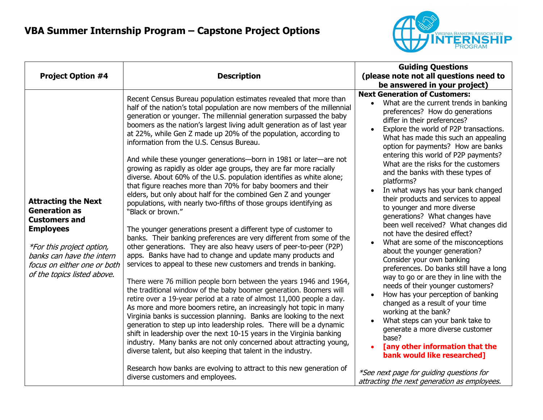

|                                                                                                                                                                                                                               |                                                                                                                                                                                                                                                                                                                                                                                                                                                                                                                                                                                                                                                                                                                                                                                                                                                                                                                                                                                                                                                                                                                                                                                                                                                                                                                                                                                                                                                              | <b>Guiding Questions</b><br>(please note not all questions need to<br>be answered in your project)                                                                                                                                                                                                                                                                                                                                                                                                                                                                                                                                                                                                                                                                                                                                          |  |
|-------------------------------------------------------------------------------------------------------------------------------------------------------------------------------------------------------------------------------|--------------------------------------------------------------------------------------------------------------------------------------------------------------------------------------------------------------------------------------------------------------------------------------------------------------------------------------------------------------------------------------------------------------------------------------------------------------------------------------------------------------------------------------------------------------------------------------------------------------------------------------------------------------------------------------------------------------------------------------------------------------------------------------------------------------------------------------------------------------------------------------------------------------------------------------------------------------------------------------------------------------------------------------------------------------------------------------------------------------------------------------------------------------------------------------------------------------------------------------------------------------------------------------------------------------------------------------------------------------------------------------------------------------------------------------------------------------|---------------------------------------------------------------------------------------------------------------------------------------------------------------------------------------------------------------------------------------------------------------------------------------------------------------------------------------------------------------------------------------------------------------------------------------------------------------------------------------------------------------------------------------------------------------------------------------------------------------------------------------------------------------------------------------------------------------------------------------------------------------------------------------------------------------------------------------------|--|
| <b>Project Option #4</b>                                                                                                                                                                                                      | <b>Description</b>                                                                                                                                                                                                                                                                                                                                                                                                                                                                                                                                                                                                                                                                                                                                                                                                                                                                                                                                                                                                                                                                                                                                                                                                                                                                                                                                                                                                                                           |                                                                                                                                                                                                                                                                                                                                                                                                                                                                                                                                                                                                                                                                                                                                                                                                                                             |  |
|                                                                                                                                                                                                                               |                                                                                                                                                                                                                                                                                                                                                                                                                                                                                                                                                                                                                                                                                                                                                                                                                                                                                                                                                                                                                                                                                                                                                                                                                                                                                                                                                                                                                                                              |                                                                                                                                                                                                                                                                                                                                                                                                                                                                                                                                                                                                                                                                                                                                                                                                                                             |  |
|                                                                                                                                                                                                                               | Recent Census Bureau population estimates revealed that more than<br>half of the nation's total population are now members of the millennial<br>generation or younger. The millennial generation surpassed the baby<br>boomers as the nation's largest living adult generation as of last year<br>at 22%, while Gen Z made up 20% of the population, according to<br>information from the U.S. Census Bureau.                                                                                                                                                                                                                                                                                                                                                                                                                                                                                                                                                                                                                                                                                                                                                                                                                                                                                                                                                                                                                                                | <b>Next Generation of Customers:</b><br>What are the current trends in banking<br>$\bullet$<br>preferences? How do generations<br>differ in their preferences?<br>Explore the world of P2P transactions.<br>What has made this such an appealing<br>option for payments? How are banks                                                                                                                                                                                                                                                                                                                                                                                                                                                                                                                                                      |  |
| <b>Attracting the Next</b><br><b>Generation as</b><br><b>Customers and</b><br><b>Employees</b><br><i>*For this project option,</i><br>banks can have the intern<br>focus on either one or both<br>of the topics listed above. | And while these younger generations—born in 1981 or later—are not<br>growing as rapidly as older age groups, they are far more racially<br>diverse. About 60% of the U.S. population identifies as white alone;<br>that figure reaches more than 70% for baby boomers and their<br>elders, but only about half for the combined Gen Z and younger<br>populations, with nearly two-fifths of those groups identifying as<br>"Black or brown."<br>The younger generations present a different type of customer to<br>banks. Their banking preferences are very different from some of the<br>other generations. They are also heavy users of peer-to-peer (P2P)<br>apps. Banks have had to change and update many products and<br>services to appeal to these new customers and trends in banking.<br>There were 76 million people born between the years 1946 and 1964,<br>the traditional window of the baby boomer generation. Boomers will<br>retire over a 19-year period at a rate of almost 11,000 people a day.<br>As more and more boomers retire, an increasingly hot topic in many<br>Virginia banks is succession planning. Banks are looking to the next<br>generation to step up into leadership roles. There will be a dynamic<br>shift in leadership over the next 10-15 years in the Virginia banking<br>industry. Many banks are not only concerned about attracting young,<br>diverse talent, but also keeping that talent in the industry. | entering this world of P2P payments?<br>What are the risks for the customers<br>and the banks with these types of<br>platforms?<br>In what ways has your bank changed<br>their products and services to appeal<br>to younger and more diverse<br>generations? What changes have<br>been well received? What changes did<br>not have the desired effect?<br>What are some of the misconceptions<br>about the younger generation?<br>Consider your own banking<br>preferences. Do banks still have a long<br>way to go or are they in line with the<br>needs of their younger customers?<br>How has your perception of banking<br>changed as a result of your time<br>working at the bank?<br>What steps can your bank take to<br>generate a more diverse customer<br>base?<br>[any other information that the<br>bank would like researched] |  |
|                                                                                                                                                                                                                               | Research how banks are evolving to attract to this new generation of<br>diverse customers and employees.                                                                                                                                                                                                                                                                                                                                                                                                                                                                                                                                                                                                                                                                                                                                                                                                                                                                                                                                                                                                                                                                                                                                                                                                                                                                                                                                                     | *See next page for guiding questions for<br>attracting the next generation as employees.                                                                                                                                                                                                                                                                                                                                                                                                                                                                                                                                                                                                                                                                                                                                                    |  |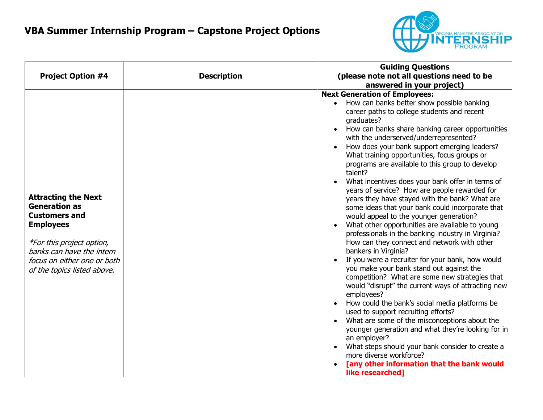

|                                                                                                                                                                                                                        | <b>Guiding Questions</b>                                                                                                                                                                                                                                                                                                                                                                                                                                                                                                                                                                                                                                                                                                                                                                                                                                                                                                                                                                                                                                                                                                                                                                                                                                                                                                                                                                                                                              |
|------------------------------------------------------------------------------------------------------------------------------------------------------------------------------------------------------------------------|-------------------------------------------------------------------------------------------------------------------------------------------------------------------------------------------------------------------------------------------------------------------------------------------------------------------------------------------------------------------------------------------------------------------------------------------------------------------------------------------------------------------------------------------------------------------------------------------------------------------------------------------------------------------------------------------------------------------------------------------------------------------------------------------------------------------------------------------------------------------------------------------------------------------------------------------------------------------------------------------------------------------------------------------------------------------------------------------------------------------------------------------------------------------------------------------------------------------------------------------------------------------------------------------------------------------------------------------------------------------------------------------------------------------------------------------------------|
| <b>Project Option #4</b>                                                                                                                                                                                               | (please note not all questions need to be<br><b>Description</b>                                                                                                                                                                                                                                                                                                                                                                                                                                                                                                                                                                                                                                                                                                                                                                                                                                                                                                                                                                                                                                                                                                                                                                                                                                                                                                                                                                                       |
|                                                                                                                                                                                                                        | answered in your project)                                                                                                                                                                                                                                                                                                                                                                                                                                                                                                                                                                                                                                                                                                                                                                                                                                                                                                                                                                                                                                                                                                                                                                                                                                                                                                                                                                                                                             |
| <b>Attracting the Next</b><br><b>Generation as</b><br><b>Customers and</b><br><b>Employees</b><br>*For this project option,<br>banks can have the intern<br>focus on either one or both<br>of the topics listed above. | <b>Next Generation of Employees:</b><br>How can banks better show possible banking<br>career paths to college students and recent<br>graduates?<br>How can banks share banking career opportunities<br>with the underserved/underrepresented?<br>How does your bank support emerging leaders?<br>What training opportunities, focus groups or<br>programs are available to this group to develop<br>talent?<br>What incentives does your bank offer in terms of<br>years of service? How are people rewarded for<br>years they have stayed with the bank? What are<br>some ideas that your bank could incorporate that<br>would appeal to the younger generation?<br>What other opportunities are available to young<br>professionals in the banking industry in Virginia?<br>How can they connect and network with other<br>bankers in Virginia?<br>If you were a recruiter for your bank, how would<br>you make your bank stand out against the<br>competition? What are some new strategies that<br>would "disrupt" the current ways of attracting new<br>employees?<br>How could the bank's social media platforms be<br>$\bullet$<br>used to support recruiting efforts?<br>What are some of the misconceptions about the<br>younger generation and what they're looking for in<br>an employer?<br>What steps should your bank consider to create a<br>more diverse workforce?<br>[any other information that the bank would<br>like researched] |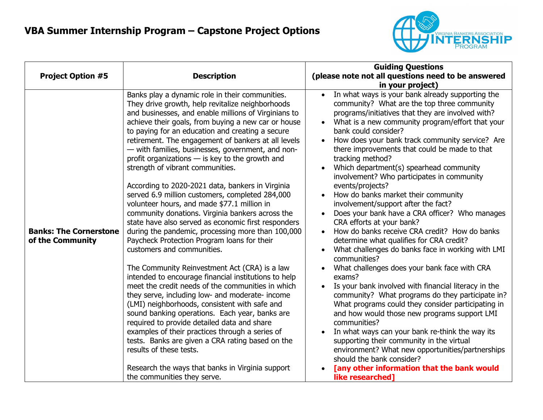

|                                                   |                                                                                                                                                                                                                                                                                                                                                                                                                                                                                                                                                                                                                                                                                                                                                                                                                                                                                                                                                                                                                                                                                                                                                                                                                                                                                                                                                                                                                                                                        | <b>Guiding Questions</b>                                                                                                                                                                                                                                                                                                                                                                                                                                                                                                                                                                                                                                                                                                                                                                                                                                                                                                                                                                                                                                                                                                                                                                                                                                                                                                                            |
|---------------------------------------------------|------------------------------------------------------------------------------------------------------------------------------------------------------------------------------------------------------------------------------------------------------------------------------------------------------------------------------------------------------------------------------------------------------------------------------------------------------------------------------------------------------------------------------------------------------------------------------------------------------------------------------------------------------------------------------------------------------------------------------------------------------------------------------------------------------------------------------------------------------------------------------------------------------------------------------------------------------------------------------------------------------------------------------------------------------------------------------------------------------------------------------------------------------------------------------------------------------------------------------------------------------------------------------------------------------------------------------------------------------------------------------------------------------------------------------------------------------------------------|-----------------------------------------------------------------------------------------------------------------------------------------------------------------------------------------------------------------------------------------------------------------------------------------------------------------------------------------------------------------------------------------------------------------------------------------------------------------------------------------------------------------------------------------------------------------------------------------------------------------------------------------------------------------------------------------------------------------------------------------------------------------------------------------------------------------------------------------------------------------------------------------------------------------------------------------------------------------------------------------------------------------------------------------------------------------------------------------------------------------------------------------------------------------------------------------------------------------------------------------------------------------------------------------------------------------------------------------------------|
| <b>Project Option #5</b>                          | <b>Description</b>                                                                                                                                                                                                                                                                                                                                                                                                                                                                                                                                                                                                                                                                                                                                                                                                                                                                                                                                                                                                                                                                                                                                                                                                                                                                                                                                                                                                                                                     | (please note not all questions need to be answered<br>in your project)                                                                                                                                                                                                                                                                                                                                                                                                                                                                                                                                                                                                                                                                                                                                                                                                                                                                                                                                                                                                                                                                                                                                                                                                                                                                              |
| <b>Banks: The Cornerstone</b><br>of the Community | Banks play a dynamic role in their communities.<br>They drive growth, help revitalize neighborhoods<br>and businesses, and enable millions of Virginians to<br>achieve their goals, from buying a new car or house<br>to paying for an education and creating a secure<br>retirement. The engagement of bankers at all levels<br>- with families, businesses, government, and non-<br>profit organizations $-$ is key to the growth and<br>strength of vibrant communities.<br>According to 2020-2021 data, bankers in Virginia<br>served 6.9 million customers, completed 284,000<br>volunteer hours, and made \$77.1 million in<br>community donations. Virginia bankers across the<br>state have also served as economic first responders<br>during the pandemic, processing more than 100,000<br>Paycheck Protection Program loans for their<br>customers and communities.<br>The Community Reinvestment Act (CRA) is a law<br>intended to encourage financial institutions to help<br>meet the credit needs of the communities in which<br>they serve, including low- and moderate- income<br>(LMI) neighborhoods, consistent with safe and<br>sound banking operations. Each year, banks are<br>required to provide detailed data and share<br>examples of their practices through a series of<br>tests. Banks are given a CRA rating based on the<br>results of these tests.<br>Research the ways that banks in Virginia support<br>the communities they serve. | In what ways is your bank already supporting the<br>community? What are the top three community<br>programs/initiatives that they are involved with?<br>What is a new community program/effort that your<br>bank could consider?<br>How does your bank track community service? Are<br>there improvements that could be made to that<br>tracking method?<br>Which department(s) spearhead community<br>involvement? Who participates in community<br>events/projects?<br>How do banks market their community<br>involvement/support after the fact?<br>Does your bank have a CRA officer? Who manages<br>CRA efforts at your bank?<br>How do banks receive CRA credit? How do banks<br>determine what qualifies for CRA credit?<br>What challenges do banks face in working with LMI<br>communities?<br>What challenges does your bank face with CRA<br>exams?<br>Is your bank involved with financial literacy in the<br>community? What programs do they participate in?<br>What programs could they consider participating in<br>and how would those new programs support LMI<br>communities?<br>In what ways can your bank re-think the way its<br>supporting their community in the virtual<br>environment? What new opportunities/partnerships<br>should the bank consider?<br>[any other information that the bank would<br>like researched] |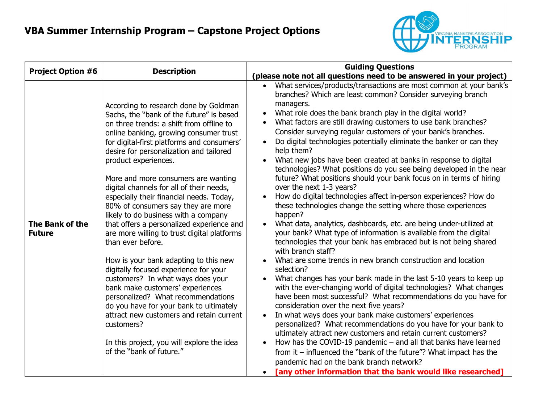

| <b>Project Option #6</b>         | <b>Description</b>                                                                                                                                                                                                                                                                                                                                                                                                                                                                                                                                                                                                                                                                                                                                                                                                                                                                                                                                                                                     | <b>Guiding Questions</b>                                                                                                                                                                                                                                                                                                                                                                                                                                                                                                                                                                                                                                                                                                                                                                                                                                                                                                                                                                                                                                                                                                                                                                                                                                                                                                                                                                                                                                                                                                                                                                                                                                                                                                                                                                                                                                                                                                                            |  |  |
|----------------------------------|--------------------------------------------------------------------------------------------------------------------------------------------------------------------------------------------------------------------------------------------------------------------------------------------------------------------------------------------------------------------------------------------------------------------------------------------------------------------------------------------------------------------------------------------------------------------------------------------------------------------------------------------------------------------------------------------------------------------------------------------------------------------------------------------------------------------------------------------------------------------------------------------------------------------------------------------------------------------------------------------------------|-----------------------------------------------------------------------------------------------------------------------------------------------------------------------------------------------------------------------------------------------------------------------------------------------------------------------------------------------------------------------------------------------------------------------------------------------------------------------------------------------------------------------------------------------------------------------------------------------------------------------------------------------------------------------------------------------------------------------------------------------------------------------------------------------------------------------------------------------------------------------------------------------------------------------------------------------------------------------------------------------------------------------------------------------------------------------------------------------------------------------------------------------------------------------------------------------------------------------------------------------------------------------------------------------------------------------------------------------------------------------------------------------------------------------------------------------------------------------------------------------------------------------------------------------------------------------------------------------------------------------------------------------------------------------------------------------------------------------------------------------------------------------------------------------------------------------------------------------------------------------------------------------------------------------------------------------------|--|--|
|                                  |                                                                                                                                                                                                                                                                                                                                                                                                                                                                                                                                                                                                                                                                                                                                                                                                                                                                                                                                                                                                        | (please note not all questions need to be answered in your project)                                                                                                                                                                                                                                                                                                                                                                                                                                                                                                                                                                                                                                                                                                                                                                                                                                                                                                                                                                                                                                                                                                                                                                                                                                                                                                                                                                                                                                                                                                                                                                                                                                                                                                                                                                                                                                                                                 |  |  |
| The Bank of the<br><b>Future</b> | According to research done by Goldman<br>Sachs, the "bank of the future" is based<br>on three trends: a shift from offline to<br>online banking, growing consumer trust<br>for digital-first platforms and consumers'<br>desire for personalization and tailored<br>product experiences.<br>More and more consumers are wanting<br>digital channels for all of their needs,<br>especially their financial needs. Today,<br>80% of consumers say they are more<br>likely to do business with a company<br>that offers a personalized experience and<br>are more willing to trust digital platforms<br>than ever before.<br>How is your bank adapting to this new<br>digitally focused experience for your<br>customers? In what ways does your<br>bank make customers' experiences<br>personalized? What recommendations<br>do you have for your bank to ultimately<br>attract new customers and retain current<br>customers?<br>In this project, you will explore the idea<br>of the "bank of future." | What services/products/transactions are most common at your bank's<br>$\bullet$<br>branches? Which are least common? Consider surveying branch<br>managers.<br>What role does the bank branch play in the digital world?<br>$\bullet$<br>What factors are still drawing customers to use bank branches?<br>$\bullet$<br>Consider surveying regular customers of your bank's branches.<br>Do digital technologies potentially eliminate the banker or can they<br>$\bullet$<br>help them?<br>What new jobs have been created at banks in response to digital<br>$\bullet$<br>technologies? What positions do you see being developed in the near<br>future? What positions should your bank focus on in terms of hiring<br>over the next 1-3 years?<br>How do digital technologies affect in-person experiences? How do<br>these technologies change the setting where those experiences<br>happen?<br>What data, analytics, dashboards, etc. are being under-utilized at<br>your bank? What type of information is available from the digital<br>technologies that your bank has embraced but is not being shared<br>with branch staff?<br>What are some trends in new branch construction and location<br>selection?<br>What changes has your bank made in the last 5-10 years to keep up<br>$\bullet$<br>with the ever-changing world of digital technologies? What changes<br>have been most successful? What recommendations do you have for<br>consideration over the next five years?<br>In what ways does your bank make customers' experiences<br>personalized? What recommendations do you have for your bank to<br>ultimately attract new customers and retain current customers?<br>How has the COVID-19 pandemic $-$ and all that banks have learned<br>from it $-$ influenced the "bank of the future"? What impact has the<br>pandemic had on the bank branch network?<br>[any other information that the bank would like researched] |  |  |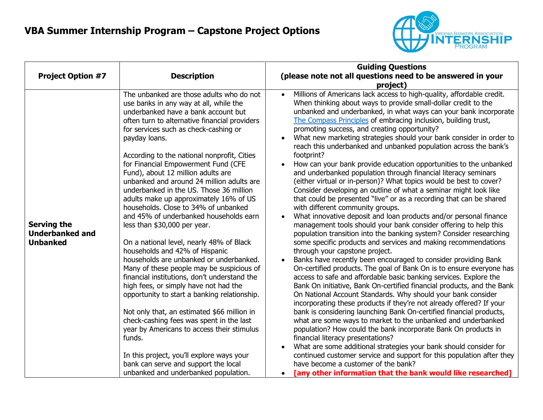

|                                                                 |                                                                                                                                                                                                                                                                                                                                                                                                                                                                                                                                                                                                                                                                                                                                                                                                                                                                                                                                                                                                                                                                                                                                                                                                                     | <b>Guiding Questions</b>                                                                                                                                                                                                                                                                                                                                                                                                                                                                                                                                                                                                                                                                                                                                                                                                                                                                                                                                                                                                                                                                                                                                                                                                                                                                                                                                                                                                                                                                                                                                                                                                                                                                                                                                                                                                                                                                                                                                                                                                                                                                                                                  |
|-----------------------------------------------------------------|---------------------------------------------------------------------------------------------------------------------------------------------------------------------------------------------------------------------------------------------------------------------------------------------------------------------------------------------------------------------------------------------------------------------------------------------------------------------------------------------------------------------------------------------------------------------------------------------------------------------------------------------------------------------------------------------------------------------------------------------------------------------------------------------------------------------------------------------------------------------------------------------------------------------------------------------------------------------------------------------------------------------------------------------------------------------------------------------------------------------------------------------------------------------------------------------------------------------|-------------------------------------------------------------------------------------------------------------------------------------------------------------------------------------------------------------------------------------------------------------------------------------------------------------------------------------------------------------------------------------------------------------------------------------------------------------------------------------------------------------------------------------------------------------------------------------------------------------------------------------------------------------------------------------------------------------------------------------------------------------------------------------------------------------------------------------------------------------------------------------------------------------------------------------------------------------------------------------------------------------------------------------------------------------------------------------------------------------------------------------------------------------------------------------------------------------------------------------------------------------------------------------------------------------------------------------------------------------------------------------------------------------------------------------------------------------------------------------------------------------------------------------------------------------------------------------------------------------------------------------------------------------------------------------------------------------------------------------------------------------------------------------------------------------------------------------------------------------------------------------------------------------------------------------------------------------------------------------------------------------------------------------------------------------------------------------------------------------------------------------------|
| <b>Project Option #7</b>                                        | <b>Description</b>                                                                                                                                                                                                                                                                                                                                                                                                                                                                                                                                                                                                                                                                                                                                                                                                                                                                                                                                                                                                                                                                                                                                                                                                  | (please note not all questions need to be answered in your<br>project)                                                                                                                                                                                                                                                                                                                                                                                                                                                                                                                                                                                                                                                                                                                                                                                                                                                                                                                                                                                                                                                                                                                                                                                                                                                                                                                                                                                                                                                                                                                                                                                                                                                                                                                                                                                                                                                                                                                                                                                                                                                                    |
| <b>Serving the</b><br><b>Underbanked and</b><br><b>Unbanked</b> | The unbanked are those adults who do not<br>use banks in any way at all, while the<br>underbanked have a bank account but<br>often turn to alternative financial providers<br>for services such as check-cashing or<br>payday loans.<br>According to the national nonprofit, Cities<br>for Financial Empowerment Fund (CFE<br>Fund), about 12 million adults are<br>unbanked and around 24 million adults are<br>underbanked in the US. Those 36 million<br>adults make up approximately 16% of US<br>households. Close to 34% of unbanked<br>and 45% of underbanked households earn<br>less than \$30,000 per year.<br>On a national level, nearly 48% of Black<br>households and 42% of Hispanic<br>households are unbanked or underbanked.<br>Many of these people may be suspicious of<br>financial institutions, don't understand the<br>high fees, or simply have not had the<br>opportunity to start a banking relationship.<br>Not only that, an estimated \$66 million in<br>check-cashing fees was spent in the last<br>year by Americans to access their stimulus<br>funds.<br>In this project, you'll explore ways your<br>bank can serve and support the local<br>unbanked and underbanked population. | Millions of Americans lack access to high-quality, affordable credit.<br>When thinking about ways to provide small-dollar credit to the<br>unbanked and underbanked, in what ways can your bank incorporate<br>The Compass Principles of embracing inclusion, building trust,<br>promoting success, and creating opportunity?<br>What new marketing strategies should your bank consider in order to<br>reach this underbanked and unbanked population across the bank's<br>footprint?<br>How can your bank provide education opportunities to the unbanked<br>and underbanked population through financial literacy seminars<br>(either virtual or in-person)? What topics would be best to cover?<br>Consider developing an outline of what a seminar might look like<br>that could be presented "live" or as a recording that can be shared<br>with different community groups.<br>What innovative deposit and loan products and/or personal finance<br>management tools should your bank consider offering to help this<br>population transition into the banking system? Consider researching<br>some specific products and services and making recommendations<br>through your capstone project.<br>Banks have recently been encouraged to consider providing Bank<br>On-certified products. The goal of Bank On is to ensure everyone has<br>access to safe and affordable basic banking services. Explore the<br>Bank On initiative, Bank On-certified financial products, and the Bank<br>On National Account Standards. Why should your bank consider<br>incorporating these products if they're not already offered? If your<br>bank is considering launching Bank On-certified financial products,<br>what are some ways to market to the unbanked and underbanked<br>population? How could the bank incorporate Bank On products in<br>financial literacy presentations?<br>What are some additional strategies your bank should consider for<br>continued customer service and support for this population after they<br>have become a customer of the bank?<br>[any other information that the bank would like researched] |